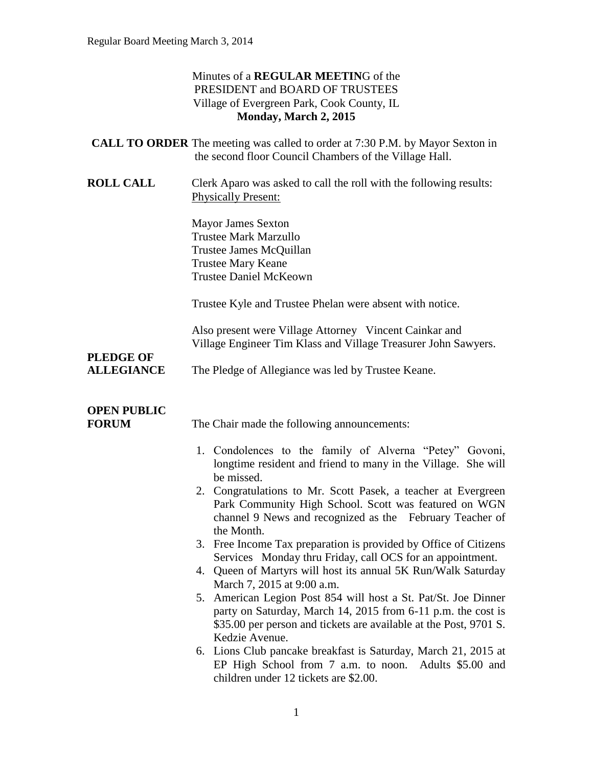### Minutes of a **REGULAR MEETIN**G of the PRESIDENT and BOARD OF TRUSTEES Village of Evergreen Park, Cook County, IL **Monday, March 2, 2015**

| <b>CALL TO ORDER</b> The meeting was called to order at 7:30 P.M. by Mayor Sexton in |
|--------------------------------------------------------------------------------------|
| the second floor Council Chambers of the Village Hall.                               |

**ROLL CALL** Clerk Aparo was asked to call the roll with the following results: Physically Present:

> Mayor James Sexton Trustee Mark Marzullo Trustee James McQuillan Trustee Mary Keane Trustee Daniel McKeown

Trustee Kyle and Trustee Phelan were absent with notice.

Also present were Village Attorney Vincent Cainkar and Village Engineer Tim Klass and Village Treasurer John Sawyers.

## **PLEDGE OF**

**ALLEGIANCE** The Pledge of Allegiance was led by Trustee Keane.

## **OPEN PUBLIC**

**FORUM** The Chair made the following announcements:

- 1. Condolences to the family of Alverna "Petey" Govoni, longtime resident and friend to many in the Village. She will be missed.
- 2. Congratulations to Mr. Scott Pasek, a teacher at Evergreen Park Community High School. Scott was featured on WGN channel 9 News and recognized as the February Teacher of the Month.
- 3. Free Income Tax preparation is provided by Office of Citizens Services Monday thru Friday, call OCS for an appointment.
- 4. Queen of Martyrs will host its annual 5K Run/Walk Saturday March 7, 2015 at 9:00 a.m.
- 5. American Legion Post 854 will host a St. Pat/St. Joe Dinner party on Saturday, March 14, 2015 from 6-11 p.m. the cost is \$35.00 per person and tickets are available at the Post, 9701 S. Kedzie Avenue.
- 6. Lions Club pancake breakfast is Saturday, March 21, 2015 at EP High School from 7 a.m. to noon. Adults \$5.00 and children under 12 tickets are \$2.00.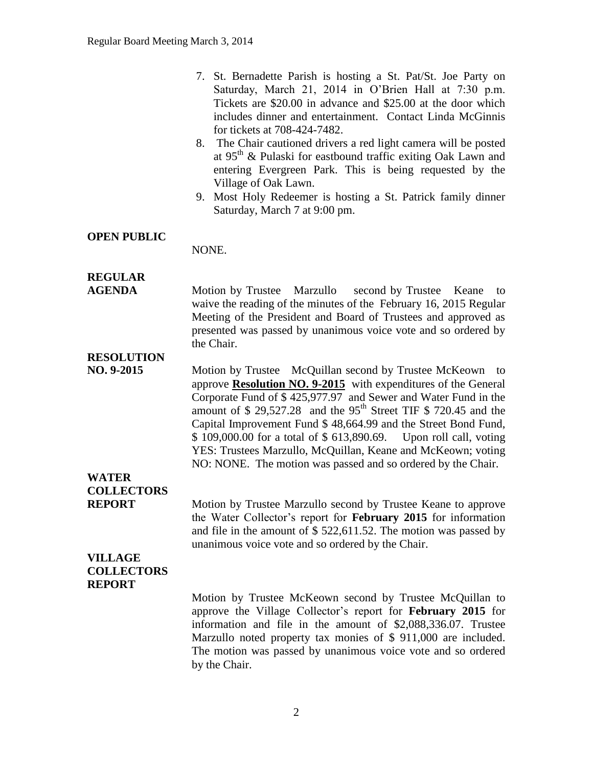| 7. St. Bernadette Parish is hosting a St. Pat/St. Joe Party on |
|----------------------------------------------------------------|
| Saturday, March 21, 2014 in O'Brien Hall at 7:30 p.m.          |
| Tickets are \$20.00 in advance and \$25.00 at the door which   |
| includes dinner and entertainment. Contact Linda McGinnis      |
| for tickets at 708-424-7482.                                   |

- 8. The Chair cautioned drivers a red light camera will be posted at  $95<sup>th</sup>$  & Pulaski for eastbound traffic exiting Oak Lawn and entering Evergreen Park. This is being requested by the Village of Oak Lawn.
- 9. Most Holy Redeemer is hosting a St. Patrick family dinner Saturday, March 7 at 9:00 pm.

#### **OPEN PUBLIC**

NONE.

## **REGULAR**

**AGENDA Motion by Trustee Marzullo** second by Trustee Keane to waive the reading of the minutes of the February 16, 2015 Regular Meeting of the President and Board of Trustees and approved as presented was passed by unanimous voice vote and so ordered by the Chair.

### **RESOLUTION**

**NO. 9-2015** Motion by Trustee McQuillan second by Trustee McKeown to approve **Resolution NO. 9-2015** with expenditures of the General Corporate Fund of \$ 425,977.97 and Sewer and Water Fund in the amount of  $$ 29,527.28$  and the 95<sup>th</sup> Street TIF  $$ 720.45$  and the Capital Improvement Fund \$ 48,664.99 and the Street Bond Fund, \$ 109,000.00 for a total of \$ 613,890.69. Upon roll call, voting YES: Trustees Marzullo, McQuillan, Keane and McKeown; voting NO: NONE. The motion was passed and so ordered by the Chair.

## **WATER COLLECTORS**

**REPORT** Motion by Trustee Marzullo second by Trustee Keane to approve the Water Collector's report for **February 2015** for information and file in the amount of \$ 522,611.52. The motion was passed by unanimous voice vote and so ordered by the Chair.

#### **VILLAGE COLLECTORS REPORT**

Motion by Trustee McKeown second by Trustee McQuillan to approve the Village Collector's report for **February 2015** for information and file in the amount of \$2,088,336.07. Trustee Marzullo noted property tax monies of \$ 911,000 are included. The motion was passed by unanimous voice vote and so ordered by the Chair.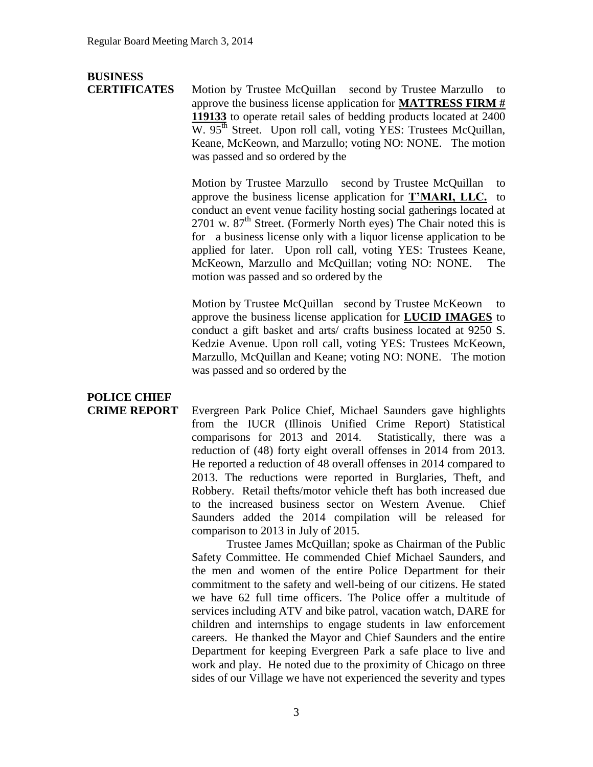## **BUSINESS**

**CERTIFICATES** Motion by Trustee McQuillan second by Trustee Marzullo to approve the business license application for **MATTRESS FIRM # 119133** to operate retail sales of bedding products located at 2400 W. 95<sup>th</sup> Street. Upon roll call, voting YES: Trustees McQuillan, Keane, McKeown, and Marzullo; voting NO: NONE. The motion was passed and so ordered by the

> Motion by Trustee Marzullo second by Trustee McQuillan to approve the business license application for **T'MARI, LLC.** to conduct an event venue facility hosting social gatherings located at 2701 w.  $87<sup>th</sup>$  Street. (Formerly North eyes) The Chair noted this is for a business license only with a liquor license application to be applied for later. Upon roll call, voting YES: Trustees Keane, McKeown, Marzullo and McQuillan; voting NO: NONE. The motion was passed and so ordered by the

> Motion by Trustee McQuillan second by Trustee McKeown to approve the business license application for **LUCID IMAGES** to conduct a gift basket and arts/ crafts business located at 9250 S. Kedzie Avenue. Upon roll call, voting YES: Trustees McKeown, Marzullo, McQuillan and Keane; voting NO: NONE. The motion was passed and so ordered by the

# **POLICE CHIEF**

**CRIME REPORT** Evergreen Park Police Chief, Michael Saunders gave highlights from the IUCR (Illinois Unified Crime Report) Statistical comparisons for 2013 and 2014. Statistically, there was a reduction of (48) forty eight overall offenses in 2014 from 2013. He reported a reduction of 48 overall offenses in 2014 compared to 2013. The reductions were reported in Burglaries, Theft, and Robbery. Retail thefts/motor vehicle theft has both increased due to the increased business sector on Western Avenue. Chief Saunders added the 2014 compilation will be released for comparison to 2013 in July of 2015.

> Trustee James McQuillan; spoke as Chairman of the Public Safety Committee. He commended Chief Michael Saunders, and the men and women of the entire Police Department for their commitment to the safety and well-being of our citizens. He stated we have 62 full time officers. The Police offer a multitude of services including ATV and bike patrol, vacation watch, DARE for children and internships to engage students in law enforcement careers. He thanked the Mayor and Chief Saunders and the entire Department for keeping Evergreen Park a safe place to live and work and play. He noted due to the proximity of Chicago on three sides of our Village we have not experienced the severity and types